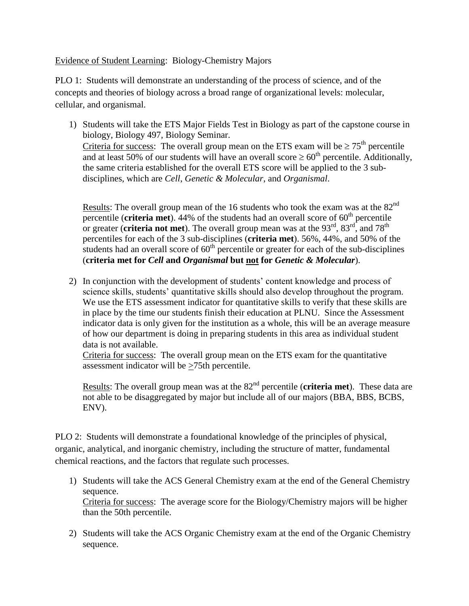Evidence of Student Learning: Biology-Chemistry Majors

PLO 1: Students will demonstrate an understanding of the process of science, and of the concepts and theories of biology across a broad range of organizational levels: molecular, cellular, and organismal.

1) Students will take the ETS Major Fields Test in Biology as part of the capstone course in biology, Biology 497, Biology Seminar. Criteria for success: The overall group mean on the ETS exam will be  $\geq 75^{\text{th}}$  percentile and at least 50% of our students will have an overall score  $\geq 60^{th}$  percentile. Additionally, the same criteria established for the overall ETS score will be applied to the 3 subdisciplines, which are *Cell*, *Genetic & Molecular*, and *Organismal*.

Results: The overall group mean of the 16 students who took the exam was at the  $82<sup>nd</sup>$ percentile (**criteria met**). 44% of the students had an overall score of 60<sup>th</sup> percentile or greater (**criteria not met**). The overall group mean was at the 93<sup>rd</sup>, 83<sup>rd</sup>, and 78<sup>th</sup> percentiles for each of the 3 sub-disciplines (**criteria met**). 56%, 44%, and 50% of the students had an overall score of  $60<sup>th</sup>$  percentile or greater for each of the sub-disciplines (**criteria met for** *Cell* **and** *Organismal* **but not for** *Genetic & Molecular*).

2) In conjunction with the development of students' content knowledge and process of science skills, students' quantitative skills should also develop throughout the program. We use the ETS assessment indicator for quantitative skills to verify that these skills are in place by the time our students finish their education at PLNU. Since the Assessment indicator data is only given for the institution as a whole, this will be an average measure of how our department is doing in preparing students in this area as individual student data is not available.

Criteria for success: The overall group mean on the ETS exam for the quantitative assessment indicator will be >75th percentile.

Results: The overall group mean was at the 82<sup>nd</sup> percentile (**criteria met**). These data are not able to be disaggregated by major but include all of our majors (BBA, BBS, BCBS, ENV).

PLO 2: Students will demonstrate a foundational knowledge of the principles of physical, organic, analytical, and inorganic chemistry, including the structure of matter, fundamental chemical reactions, and the factors that regulate such processes.

- 1) Students will take the ACS General Chemistry exam at the end of the General Chemistry sequence. Criteria for success: The average score for the Biology/Chemistry majors will be higher than the 50th percentile.
- 2) Students will take the ACS Organic Chemistry exam at the end of the Organic Chemistry sequence.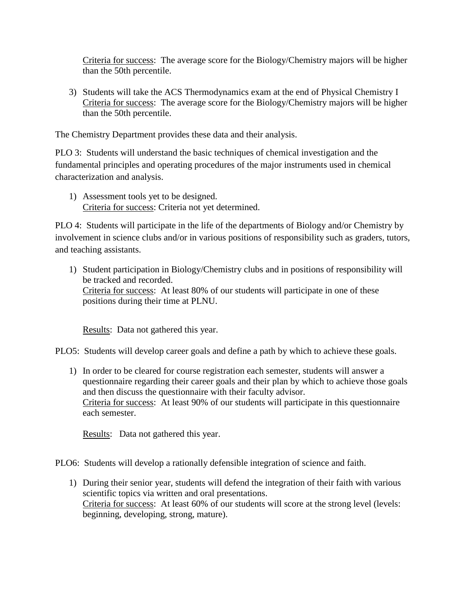Criteria for success: The average score for the Biology/Chemistry majors will be higher than the 50th percentile.

3) Students will take the ACS Thermodynamics exam at the end of Physical Chemistry I Criteria for success: The average score for the Biology/Chemistry majors will be higher than the 50th percentile.

The Chemistry Department provides these data and their analysis.

PLO 3: Students will understand the basic techniques of chemical investigation and the fundamental principles and operating procedures of the major instruments used in chemical characterization and analysis.

1) Assessment tools yet to be designed. Criteria for success: Criteria not yet determined.

PLO 4: Students will participate in the life of the departments of Biology and/or Chemistry by involvement in science clubs and/or in various positions of responsibility such as graders, tutors, and teaching assistants.

1) Student participation in Biology/Chemistry clubs and in positions of responsibility will be tracked and recorded. Criteria for success: At least 80% of our students will participate in one of these positions during their time at PLNU.

Results: Data not gathered this year.

PLO5: Students will develop career goals and define a path by which to achieve these goals.

1) In order to be cleared for course registration each semester, students will answer a questionnaire regarding their career goals and their plan by which to achieve those goals and then discuss the questionnaire with their faculty advisor. Criteria for success: At least 90% of our students will participate in this questionnaire each semester.

Results: Data not gathered this year.

PLO6: Students will develop a rationally defensible integration of science and faith.

1) During their senior year, students will defend the integration of their faith with various scientific topics via written and oral presentations. Criteria for success: At least 60% of our students will score at the strong level (levels: beginning, developing, strong, mature).